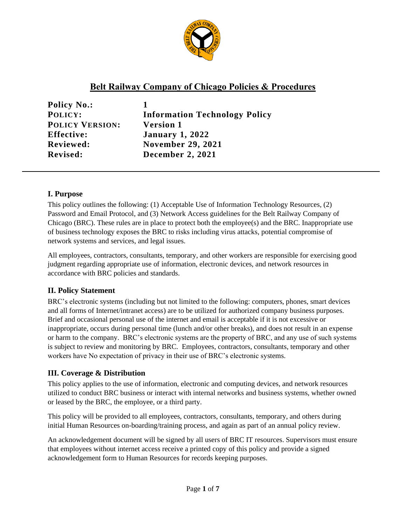

# **Belt Railway Company of Chicago Policies & Procedures**

**Policy No.: 1 POLICY VERSION: Version 1 Effective: January 1, 2022 Revised: December 2, 2021**

**POLICY: Information Technology Policy Reviewed: November 29, 2021**

# **I. Purpose**

This policy outlines the following: (1) Acceptable Use of Information Technology Resources, (2) Password and Email Protocol, and (3) Network Access guidelines for the Belt Railway Company of Chicago (BRC). These rules are in place to protect both the employee(s) and the BRC. Inappropriate use of business technology exposes the BRC to risks including virus attacks, potential compromise of network systems and services, and legal issues.

All employees, contractors, consultants, temporary, and other workers are responsible for exercising good judgment regarding appropriate use of information, electronic devices, and network resources in accordance with BRC policies and standards.

# **II. Policy Statement**

BRC's electronic systems (including but not limited to the following: computers, phones, smart devices and all forms of Internet/intranet access) are to be utilized for authorized company business purposes. Brief and occasional personal use of the internet and email is acceptable if it is not excessive or inappropriate, occurs during personal time (lunch and/or other breaks), and does not result in an expense or harm to the company. BRC's electronic systems are the property of BRC, and any use of such systems is subject to review and monitoring by BRC. Employees, contractors, consultants, temporary and other workers have No expectation of privacy in their use of BRC's electronic systems.

# **III. Coverage & Distribution**

This policy applies to the use of information, electronic and computing devices, and network resources utilized to conduct BRC business or interact with internal networks and business systems, whether owned or leased by the BRC, the employee, or a third party.

This policy will be provided to all employees, contractors, consultants, temporary, and others during initial Human Resources on-boarding/training process, and again as part of an annual policy review.

An acknowledgement document will be signed by all users of BRC IT resources. Supervisors must ensure that employees without internet access receive a printed copy of this policy and provide a signed acknowledgement form to Human Resources for records keeping purposes.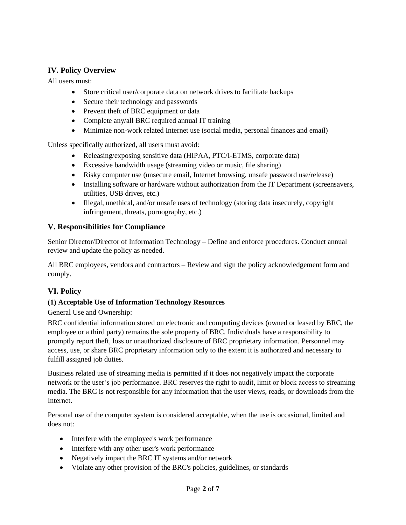# **IV. Policy Overview**

All users must:

- Store critical user/corporate data on network drives to facilitate backups
- Secure their technology and passwords
- Prevent theft of BRC equipment or data
- Complete any/all BRC required annual IT training
- Minimize non-work related Internet use (social media, personal finances and email)

Unless specifically authorized, all users must avoid:

- Releasing/exposing sensitive data (HIPAA, PTC/I-ETMS, corporate data)
- Excessive bandwidth usage (streaming video or music, file sharing)
- Risky computer use (unsecure email, Internet browsing, unsafe password use/release)
- Installing software or hardware without authorization from the IT Department (screensavers, utilities, USB drives, etc.)
- Illegal, unethical, and/or unsafe uses of technology (storing data insecurely, copyright infringement, threats, pornography, etc.)

# **V. Responsibilities for Compliance**

Senior Director/Director of Information Technology – Define and enforce procedures. Conduct annual review and update the policy as needed.

All BRC employees, vendors and contractors – Review and sign the policy acknowledgement form and comply.

# **VI. Policy**

# **(1) Acceptable Use of Information Technology Resources**

General Use and Ownership:

BRC confidential information stored on electronic and computing devices (owned or leased by BRC, the employee or a third party) remains the sole property of BRC. Individuals have a responsibility to promptly report theft, loss or unauthorized disclosure of BRC proprietary information. Personnel may access, use, or share BRC proprietary information only to the extent it is authorized and necessary to fulfill assigned job duties.

Business related use of streaming media is permitted if it does not negatively impact the corporate network or the user's job performance. BRC reserves the right to audit, limit or block access to streaming media. The BRC is not responsible for any information that the user views, reads, or downloads from the Internet.

Personal use of the computer system is considered acceptable, when the use is occasional, limited and does not:

- Interfere with the employee's work performance
- Interfere with any other user's work performance
- Negatively impact the BRC IT systems and/or network
- Violate any other provision of the BRC's policies, guidelines, or standards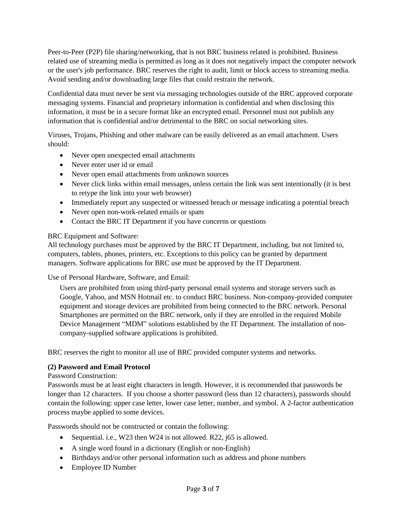Peer-to-Peer (P2P) file sharing/networking, that is not BRC business related is prohibited. Business related use of streaming media is permitted as long as it does not negatively impact the computer network or the user's job performance. BRC reserves the right to audit, limit or block access to streaming media. Avoid sending and/or downloading large files that could restrain the network.

Confidential data must never be sent via messaging technologies outside of the BRC approved corporate messaging systems. Financial and proprietary information is confidential and when disclosing this information, it must be in a secure format like an encrypted email. Personnel must not publish any information that is confidential and/or detrimental to the BRC on social networking sites.

Viruses, Trojans, Phishing and other malware can be easily delivered as an email attachment. Users should:

- Never open unexpected email attachments
- Never enter user id or email
- Never open email attachments from unknown sources
- Never click links within email messages, unless certain the link was sent intentionally (it is best to retype the link into your web browser)
- Immediately report any suspected or witnessed breach or message indicating a potential breach
- Never open non-work-related emails or spam
- Contact the BRC IT Department if you have concerns or questions

#### BRC Equipment and Software:

All technology purchases must be approved by the BRC IT Department, including, but not limited to, computers, tablets, phones, printers, etc. Exceptions to this policy can be granted by department managers. Software applications for BRC use must be approved by the IT Department.

Use of Personal Hardware, Software, and Email:

Users are prohibited from using third-party personal email systems and storage servers such as Google, Yahoo, and MSN Hotmail etc. to conduct BRC business. Non-company-provided computer equipment and storage devices are prohibited from being connected to the BRC network. Personal Smartphones are permitted on the BRC network, only if they are enrolled in the required Mobile Device Management "MDM" solutions established by the IT Department. The installation of noncompany-supplied software applications is prohibited.

BRC reserves the right to monitor all use of BRC provided computer systems and networks.

## **(2) Password and Email Protocol**

Password Construction:

Passwords must be at least eight characters in length. However, it is recommended that passwords be longer than 12 characters. If you choose a shorter password (less than 12 characters), passwords should contain the following: upper case letter, lower case letter, number, and symbol. A 2-factor authentication process maybe applied to some devices.

Passwords should not be constructed or contain the following:

- Sequential. i.e., W23 then W24 is not allowed. R22,  $\overline{165}$  is allowed.
- A single word found in a dictionary (English or non-English)
- Birthdays and/or other personal information such as address and phone numbers
- Employee ID Number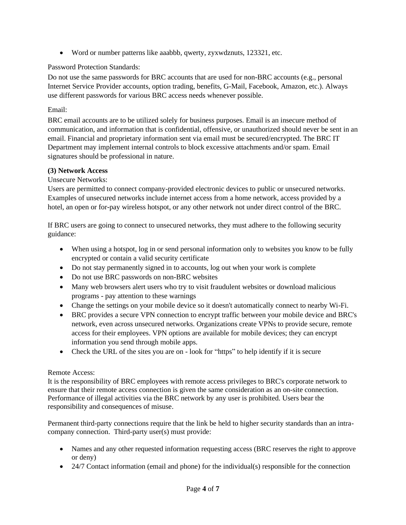• Word or number patterns like aaabbb, qwerty, zyxwdznuts, 123321, etc.

## Password Protection Standards:

Do not use the same passwords for BRC accounts that are used for non-BRC accounts (e.g., personal Internet Service Provider accounts, option trading, benefits, G-Mail, Facebook, Amazon, etc.). Always use different passwords for various BRC access needs whenever possible.

## Email:

BRC email accounts are to be utilized solely for business purposes. Email is an insecure method of communication, and information that is confidential, offensive, or unauthorized should never be sent in an email. Financial and proprietary information sent via email must be secured/encrypted. The BRC IT Department may implement internal controls to block excessive attachments and/or spam. Email signatures should be professional in nature.

## **(3) Network Access**

Unsecure Networks:

Users are permitted to connect company-provided electronic devices to public or unsecured networks. Examples of unsecured networks include internet access from a home network, access provided by a hotel, an open or for-pay wireless hotspot, or any other network not under direct control of the BRC.

If BRC users are going to connect to unsecured networks, they must adhere to the following security guidance:

- When using a hotspot, log in or send personal information only to websites you know to be fully encrypted or contain a valid security certificate
- Do not stay permanently signed in to accounts, log out when your work is complete
- Do not use BRC passwords on non-BRC websites
- Many web browsers alert users who try to visit fraudulent websites or download malicious programs - pay attention to these warnings
- Change the settings on your mobile device so it doesn't automatically connect to nearby Wi-Fi.
- BRC provides a secure VPN connection to encrypt traffic between your mobile device and BRC's network, even across unsecured networks. Organizations create VPNs to provide secure, remote access for their employees. VPN options are available for mobile devices; they can encrypt information you send through mobile apps.
- Check the URL of the sites you are on look for "https" to help identify if it is secure

## Remote Access:

It is the responsibility of BRC employees with remote access privileges to BRC's corporate network to ensure that their remote access connection is given the same consideration as an on-site connection. Performance of illegal activities via the BRC network by any user is prohibited. Users bear the responsibility and consequences of misuse.

Permanent third-party connections require that the link be held to higher security standards than an intracompany connection. Third-party user(s) must provide:

- Names and any other requested information requesting access (BRC reserves the right to approve or deny)
- 24/7 Contact information (email and phone) for the individual(s) responsible for the connection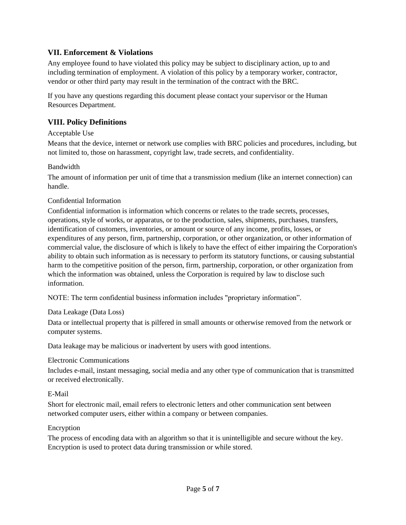# **VII. Enforcement & Violations**

Any employee found to have violated this policy may be subject to disciplinary action, up to and including termination of employment. A violation of this policy by a temporary worker, contractor, vendor or other third party may result in the termination of the contract with the BRC.

If you have any questions regarding this document please contact your supervisor or the Human Resources Department.

# **VIII. Policy Definitions**

## Acceptable Use

Means that the device, internet or network use complies with BRC policies and procedures, including, but not limited to, those on harassment, copyright law, trade secrets, and confidentiality.

#### Bandwidth

The amount of information per unit of time that a transmission medium (like an internet connection) can handle.

## Confidential Information

Confidential information is information which concerns or relates to the trade secrets, processes, operations, style of works, or apparatus, or to the production, sales, shipments, purchases, transfers, identification of customers, inventories, or amount or source of any income, profits, losses, or expenditures of any person, firm, partnership, corporation, or other organization, or other information of commercial value, the disclosure of which is likely to have the effect of either impairing the Corporation's ability to obtain such information as is necessary to perform its statutory functions, or causing substantial harm to the competitive position of the person, firm, partnership, corporation, or other organization from which the information was obtained, unless the Corporation is required by law to disclose such information.

NOTE: The term confidential business information includes "proprietary information".

## Data Leakage (Data Loss)

Data or intellectual property that is pilfered in small amounts or otherwise removed from the network or computer systems.

Data leakage may be malicious or inadvertent by users with good intentions.

## Electronic Communications

Includes e-mail, instant messaging, social media and any other type of communication that is transmitted or received electronically.

## E-Mail

Short for electronic mail, email refers to electronic letters and other communication sent between networked computer users, either within a company or between companies.

#### Encryption

The process of encoding data with an algorithm so that it is unintelligible and secure without the key. Encryption is used to protect data during transmission or while stored.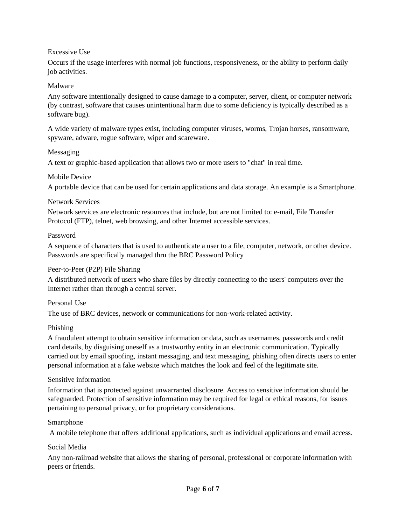## Excessive Use

Occurs if the usage interferes with normal job functions, responsiveness, or the ability to perform daily job activities.

#### Malware

Any software intentionally designed to cause damage to a computer, server, client, or computer network (by contrast, software that causes unintentional harm due to some deficiency is typically described as a software bug).

A wide variety of malware types exist, including computer viruses, worms, Trojan horses, ransomware, spyware, adware, rogue software, wiper and scareware.

#### Messaging

A text or graphic-based application that allows two or more users to "chat" in real time.

#### Mobile Device

A portable device that can be used for certain applications and data storage. An example is a Smartphone.

#### Network Services

Network services are electronic resources that include, but are not limited to: e-mail, File Transfer Protocol (FTP), telnet, web browsing, and other Internet accessible services.

#### Password

A sequence of characters that is used to authenticate a user to a file, computer, network, or other device. Passwords are specifically managed thru the BRC Password Policy

## Peer-to-Peer (P2P) File Sharing

A distributed network of users who share files by directly connecting to the users' computers over the Internet rather than through a central server.

#### Personal Use

The use of BRC devices, network or communications for non-work-related activity.

## Phishing

A fraudulent attempt to obtain sensitive information or data, such as usernames, passwords and credit card details, by disguising oneself as a trustworthy entity in an electronic communication. Typically carried out by email spoofing, instant messaging, and text messaging, phishing often directs users to enter personal information at a fake website which matches the look and feel of the legitimate site.

#### Sensitive information

Information that is protected against unwarranted disclosure. Access to sensitive information should be safeguarded. Protection of sensitive information may be required for legal or ethical reasons, for issues pertaining to personal privacy, or for proprietary considerations.

#### Smartphone

A mobile telephone that offers additional applications, such as individual applications and email access.

#### Social Media

Any non-railroad website that allows the sharing of personal, professional or corporate information with peers or friends.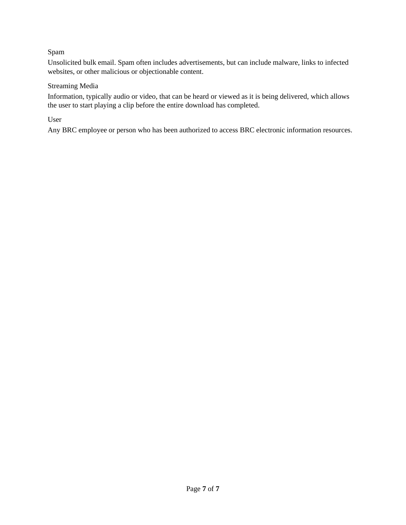## Spam

Unsolicited bulk email. Spam often includes advertisements, but can include malware, links to infected websites, or other malicious or objectionable content.

#### Streaming Media

Information, typically audio or video, that can be heard or viewed as it is being delivered, which allows the user to start playing a clip before the entire download has completed.

User

Any BRC employee or person who has been authorized to access BRC electronic information resources.